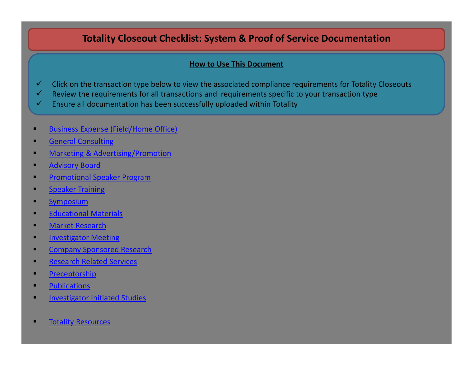# **Totality Closeout Checklist: System & Proof of Service Documentation**

# **How to Use This Document**

- $\checkmark$ Click on the transaction type below to view the associated compliance requirements for Totality Closeouts
- $\checkmark$ Review the requirements for all transactions and requirements specific to your transaction type
- $\checkmark$ Ensure all documentation has been successfully uploaded within Totality
- Business Expense [\(Field/Home](#page-1-0) Office)
- General [Consulting](#page-1-0)
- Marketing & [Advertising/Promotion](#page-1-0)
- [Advisory](#page-2-0) Board
- [Promotional](#page-2-0) Speaker Program
- **[Speaker](#page-2-0) Training**
- п **[Symposium](#page-3-0)**
- [Educational](#page-3-0) Materials
- **Narket [Research](#page-3-0)**
- п [Investigator](#page-4-0) Meeting
- Company [Sponsored](#page-4-0) Research
- **[Research](#page-4-0) Related Services**
- п **[Preceptorship](#page-5-0)**
- **[Publications](#page-5-0)**
- [Investigator](#page-5-0) Initiated Studies
- Totality [Resources](#page-6-0)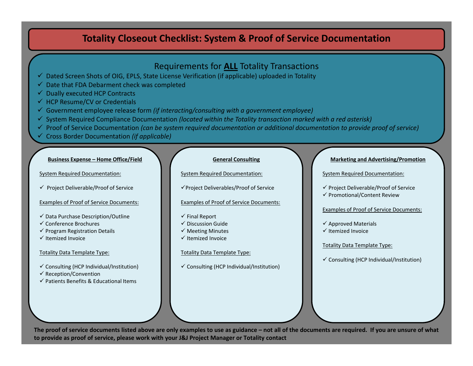- <span id="page-1-0"></span> $\checkmark$  Dated Screen Shots of OIG, EPLS, State License Verification (if applicable) uploaded in Totality
- $\checkmark$ Date that FDA Debarment check was completed
- $\checkmark$ Dually executed HCP Contracts
- $\checkmark$  HCP Resume/CV or Credentials
- 9 Government employee release form *(if interacting/consulting with <sup>a</sup> government employee)*
- 9 System Required Compliance Documentation *(located within the Totality transaction marked with <sup>a</sup> red asterisk)*
- 9 Proof of Service Documentation *(can be system required documentation or additional documentation to provide proof of service)*
- 9 Cross Border Documentation *(if applicable)*

#### **Business Expense – Home Office/Field**

#### System Required Documentation:

 $\checkmark$  Project Deliverable/Proof of Service

### Examples of Proof of Service Documents:

- $\checkmark$  Data Purchase Description/Outline
- $\checkmark$  Conference Brochures
- $\checkmark$  Program Registration Details
- $\checkmark$  Itemized Invoice

# Totality Data Template Type:

- $\checkmark$  Consulting (HCP Individual/Institution)
- $\checkmark$  Reception/Convention
- $\checkmark$  Patients Benefits & Educational Items

### **General Consulting**

System Required Documentation:

<sup>9</sup>Project Deliverables/Proof of Service

### Examples of Proof of Service Documents:

- $\checkmark$  Final Report
- $\checkmark$  Discussion Guide
- $\checkmark$  Meeting Minutes
- $\checkmark$  Itemized Invoice

# Totality Data Template Type:

 $\checkmark$  Consulting (HCP Individual/Institution)

### **Marketing and Advertising/Promotion**

System Required Documentation:

9 Project Deliverable/Proof of Service 9 Promotional/Content Review

### Examples of Proof of Service Documents:

- $\checkmark$  Approved Materials
- $\checkmark$  Itemized Invoice

# Totality Data Template Type:

 $\checkmark$  Consulting (HCP Individual/Institution)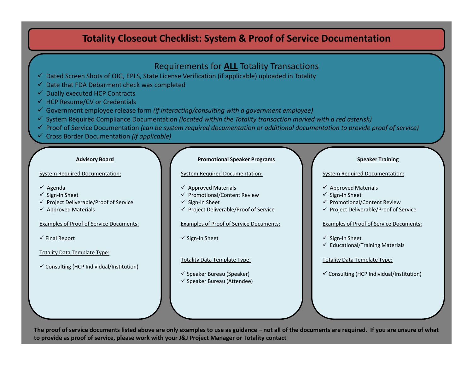- <span id="page-2-0"></span> $\checkmark$  Dated Screen Shots of OIG, EPLS, State License Verification (if applicable) uploaded in Totality
- $\checkmark$  Date that FDA Debarment check was completed
- $\checkmark$  Dually executed HCP Contracts
- $\checkmark$  HCP Resume/CV or Credentials
- 9 Government employee release form *(if interacting/consulting with <sup>a</sup> government employee)*
- 9 System Required Compliance Documentation *(located within the Totality transaction marked with <sup>a</sup> red asterisk)*
- 9 Proof of Service Documentation *(can be system required documentation or additional documentation to provide proof of service)*
- 9 Cross Border Documentation *(if applicable)*

#### **Advisory Board**

### System Required Documentation:

- $\checkmark$  Agenda
- √ Sign-In Sheet
- $\checkmark$  Project Deliverable/Proof of Service
- $\checkmark$  Approved Materials

### Examples of Proof of Service Documents:

 $\checkmark$  Final Report

# Totality Data Template Type:

 $\checkmark$  Consulting (HCP Individual/Institution)

#### **Promotional Speaker Programs**

#### System Required Documentation:

- $\checkmark$  Approved Materials
- $\checkmark$  Promotional/Content Review
- √ Sign-In Sheet
- $\checkmark$  Project Deliverable/Proof of Service

### Examples of Proof of Service Documents:

√ Sign-In Sheet

# Totality Data Template Type:

 $\checkmark$  Speaker Bureau (Speaker)  $\checkmark$  Speaker Bureau (Attendee)

#### **Speaker Training**

### System Required Documentation:

- $\checkmark$  Approved Materials
- √ Sign-In Sheet
- $\checkmark$  Promotional/Content Review
- $\checkmark$  Project Deliverable/Proof of Service

# Examples of Proof of Service Documents:

- √ Sign-In Sheet
- $\checkmark$  Educational/Training Materials

# Totality Data Template Type:

 $\checkmark$  Consulting (HCP Individual/Institution)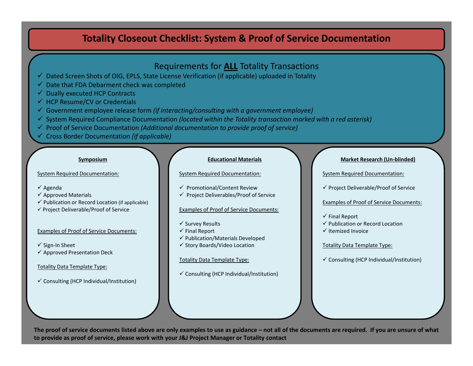- <span id="page-3-0"></span> $\checkmark$  Dated Screen Shots of OIG, EPLS, State License Verification (if applicable) uploaded in Totality
- $\checkmark$  Date that FDA Debarment check was completed
- $\checkmark$  Dually executed HCP Contracts
- $\checkmark$  HCP Resume/CV or Credentials
- 9 Government employee release form *(if interacting/consulting with <sup>a</sup> government employee)*
- 9 System Required Compliance Documentation *(located within the Totality transaction marked with <sup>a</sup> red asterisk)*
- 9 Proof of Service Documentation *(Additional documentation to provide proof of service)*
- 9 Cross Border Documentation *(if applicable)*

#### **Symposium**

System Required Documentation:

- $\checkmark$  Agenda
- $\checkmark$  Approved Materials
- $\checkmark$  Publication or Record Location (if applicable)
- $\checkmark$  Project Deliverable/Proof of Service

# Examples of Proof of Service Documents:

- √ Sign-In Sheet
- $\checkmark$  Approved Presentation Deck

# Totality Data Template Type:

 $\checkmark$  Consulting (HCP Individual/Institution)

#### **Educational Materials**

System Required Documentation:

- $\checkmark$  Promotional/Content Review
- $\checkmark$  Project Deliverables/Proof of Service

# Examples of Proof of Service Documents:

- $\checkmark$  Survey Results
- $\checkmark$  Final Report
- $\checkmark$  Publication/Materials Developed
- √ Story Boards/Video Location

### Totality Data Template Type:

 $\checkmark$  Consulting (HCP Individual/Institution)

### **Market Research (Un‐blinded)**

System Required Documentation:

9 Project Deliverable/Proof of Service

Examples of Proof of Service Documents:

- $\checkmark$  Final Report
- $\checkmark$  Publication or Record Location
- $\checkmark$  Itemized Invoice

# Totality Data Template Type:

 $\checkmark$  Consulting (HCP Individual/Institution)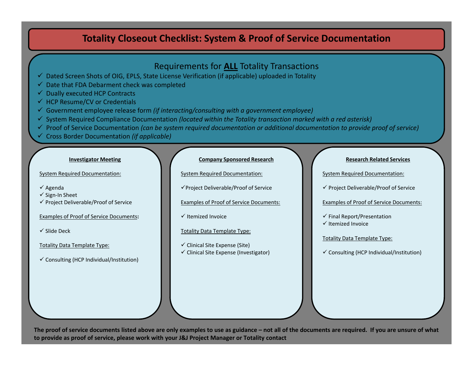- <span id="page-4-0"></span> $\checkmark$  Dated Screen Shots of OIG, EPLS, State License Verification (if applicable) uploaded in Totality
- $\checkmark$ Date that FDA Debarment check was completed
- $\checkmark$ Dually executed HCP Contracts
- $\checkmark$  HCP Resume/CV or Credentials
- 9 Government employee release form *(if interacting/consulting with <sup>a</sup> government employee)*
- 9 System Required Compliance Documentation *(located within the Totality transaction marked with <sup>a</sup> red asterisk)*
- 9 Proof of Service Documentation *(can be system required documentation or additional documentation to provide proof of service)*
- 9 Cross Border Documentation *(if applicable)*

#### **Investigator Meeting**

System Required Documentation:

- $\checkmark$  Agenda
- √ Sign-In Sheet
- $\checkmark$  Project Deliverable/Proof of Service

Examples of Proof of Service Documents**:**

 $\checkmark$  Slide Deck

Totality Data Template Type:

 $\checkmark$  Consulting (HCP Individual/Institution)

# **Company Sponsored Research**

System Required Documentation:

<sup>9</sup>Project Deliverable/Proof of Service

Examples of Proof of Service Documents:

- $\checkmark$  Itemized Invoice
- Totality Data Template Type:
- $\checkmark$  Clinical Site Expense (Site)  $\checkmark$  Clinical Site Expense (Investigator)

#### **Research Related Services**

System Required Documentation:

9 Project Deliverable/Proof of Service

Examples of Proof of Service Documents:

 $\checkmark$  Final Report/Presentation  $\checkmark$  Itemized Invoice

# Totality Data Template Type:

 $\checkmark$  Consulting (HCP Individual/Institution)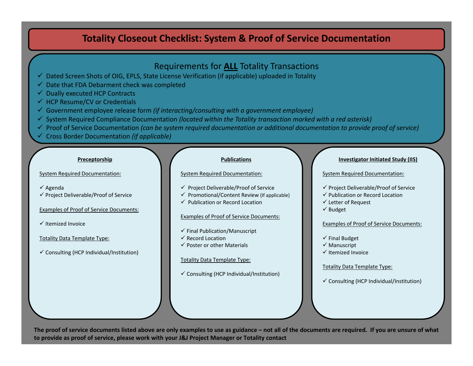- <span id="page-5-0"></span> $\checkmark$  Dated Screen Shots of OIG, EPLS, State License Verification (if applicable) uploaded in Totality
- $\checkmark$  Date that FDA Debarment check was completed
- $\checkmark$  Dually executed HCP Contracts
- $\checkmark$  HCP Resume/CV or Credentials
- 9 Government employee release form *(if interacting/consulting with <sup>a</sup> government employee)*
- 9 System Required Compliance Documentation *(located within the Totality transaction marked with <sup>a</sup> red asterisk)*
- 9 Proof of Service Documentation *(can be system required documentation or additional documentation to provide proof of service)*
- 9 Cross Border Documentation *(if applicable)*

### **Preceptorship**

System Required Documentation:

- $\checkmark$  Agenda
- $\checkmark$  Project Deliverable/Proof of Service

Examples of Proof of Service Documents:

 $\checkmark$  Itemized Invoice

# Totality Data Template Type:

 $\checkmark$  Consulting (HCP Individual/Institution)